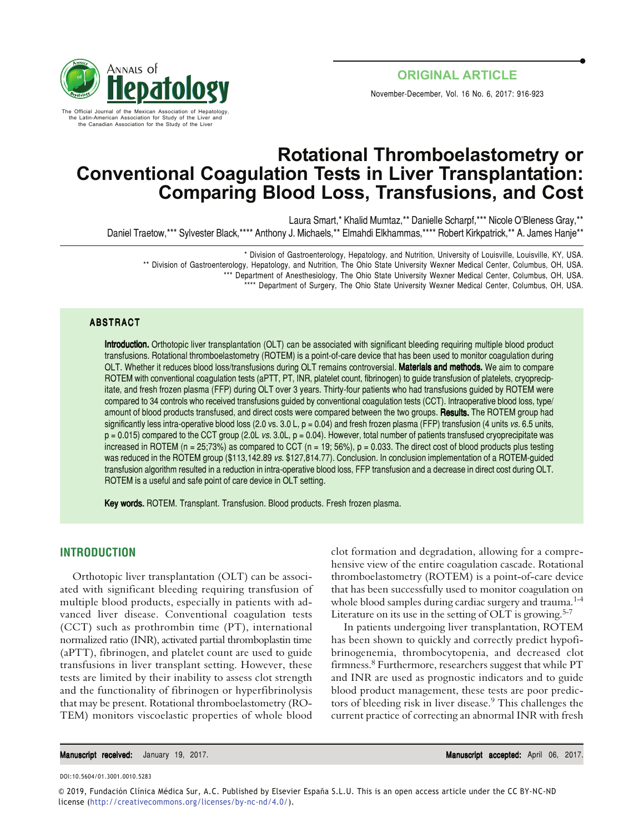

# **Rotational Thromboelastometry or Conventional Coagulation Tests in Liver Transplantation: Comparing Blood Loss, Transfusions, and Cost**

Laura Smart,\* Khalid Mumtaz,\*\* Danielle Scharpf,\*\*\* Nicole O'Bleness Gray,\*\* Daniel Traetow,\*\*\* Sylvester Black,\*\*\*\* Anthony J. Michaels,\*\* Elmahdi Elkhammas,\*\*\*\* Robert Kirkpatrick,\*\* A. James Hanje\*\*

\* Division of Gastroenterology, Hepatology, and Nutrition, University of Louisville, Louisville, KY, USA.

\*\* Division of Gastroenterology, Hepatology, and Nutrition, The Ohio State University Wexner Medical Center, Columbus, OH, USA.

\*\*\* Department of Anesthesiology, The Ohio State University Wexner Medical Center, Columbus, OH, USA.

\*\*\* Department of Surgery, The Ohio State University Wexner Medical Center, Columbus, OH, USA.

#### ABSTRACT

Introduction. Orthotopic liver transplantation (OLT) can be associated with significant bleeding requiring multiple blood product transfusions. Rotational thromboelastometry (ROTEM) is a point-of-care device that has been used to monitor coagulation during OLT. Whether it reduces blood loss/transfusions during OLT remains controversial. Materials and methods. We aim to compare ROTEM with conventional coagulation tests (aPTT, PT, INR, platelet count, fibrinogen) to guide transfusion of platelets, cryoprecipitate, and fresh frozen plasma (FFP) during OLT over 3 years. Thirty-four patients who had transfusions guided by ROTEM were compared to 34 controls who received transfusions guided by conventional coagulation tests (CCT). Intraoperative blood loss, type/ amount of blood products transfused, and direct costs were compared between the two groups. Results. The ROTEM group had significantly less intra-operative blood loss (2.0 vs. 3.0 L,  $p = 0.04$ ) and fresh frozen plasma (FFP) transfusion (4 units vs. 6.5 units,  $p = 0.015$ ) compared to the CCT group (2.0L vs. 3.0L,  $p = 0.04$ ). However, total number of patients transfused cryoprecipitate was increased in ROTEM ( $n = 25,73\%$ ) as compared to CCT ( $n = 19,56\%$ ),  $p = 0.033$ . The direct cost of blood products plus testing was reduced in the ROTEM group (\$113,142.89 vs. \$127,814.77). Conclusion. In conclusion implementation of a ROTEM-guided transfusion algorithm resulted in a reduction in intra-operative blood loss, FFP transfusion and a decrease in direct cost during OLT. ROTEM is a useful and safe point of care device in OLT setting.

Key words. ROTEM. Transplant. Transfusion. Blood products. Fresh frozen plasma.

#### **INTRODUCTION**

Orthotopic liver transplantation (OLT) can be associated with significant bleeding requiring transfusion of multiple blood products, especially in patients with advanced liver disease. Conventional coagulation tests (CCT) such as prothrombin time (PT), international normalized ratio (INR), activated partial thromboplastin time (aPTT), fibrinogen, and platelet count are used to guide transfusions in liver transplant setting. However, these tests are limited by their inability to assess clot strength and the functionality of fibrinogen or hyperfibrinolysis that may be present. Rotational thromboelastometry (RO-TEM) monitors viscoelastic properties of whole blood

clot formation and degradation, allowing for a comprehensive view of the entire coagulation cascade. Rotational thromboelastometry (ROTEM) is a point-of-care device that has been successfully used to monitor coagulation on whole blood samples during cardiac surgery and trauma.<sup>1-4</sup> Literature on its use in the setting of OLT is growing.<sup>5-7</sup>

In patients undergoing liver transplantation, ROTEM has been shown to quickly and correctly predict hypofibrinogenemia, thrombocytopenia, and decreased clot firmness.8 Furthermore, researchers suggest that while PT and INR are used as prognostic indicators and to guide blood product management, these tests are poor predictors of bleeding risk in liver disease.<sup>9</sup> This challenges the current practice of correcting an abnormal INR with fresh

Manuscript received: January 19, 2017. Manuscript accepted: April 06, 2017.

DOI:10.5604/01.3001.0010.5283

© 2019, Fundación Clínica Médica Sur, A.C. Published by Elsevier España S.L.U. This is an open access article under the CC BY-NC-ND license (http://creativecommons.org/licenses/by-nc-nd/4.0/).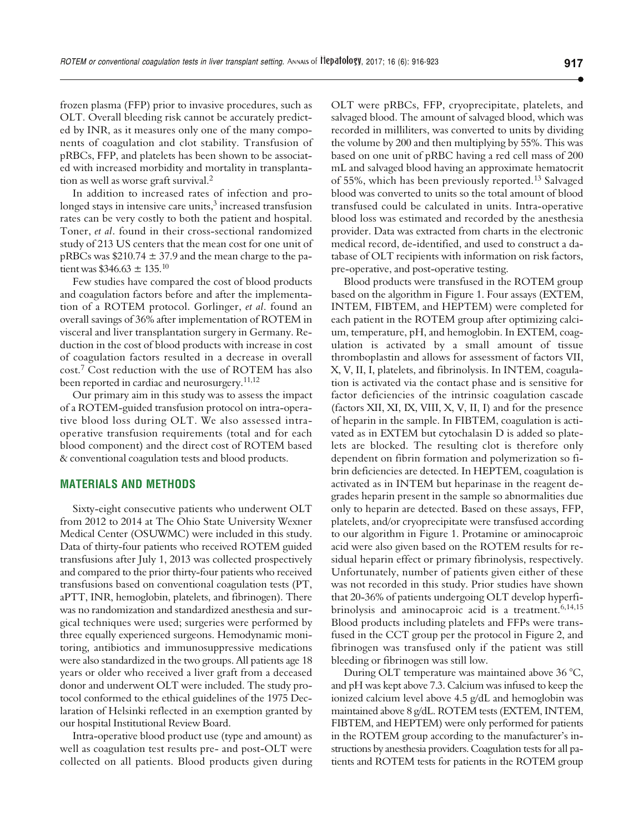frozen plasma (FFP) prior to invasive procedures, such as OLT. Overall bleeding risk cannot be accurately predicted by INR, as it measures only one of the many components of coagulation and clot stability. Transfusion of pRBCs, FFP, and platelets has been shown to be associated with increased morbidity and mortality in transplantation as well as worse graft survival.<sup>2</sup>

In addition to increased rates of infection and prolonged stays in intensive care units, $3$  increased transfusion rates can be very costly to both the patient and hospital. Toner, *et al*. found in their cross-sectional randomized study of 213 US centers that the mean cost for one unit of pRBCs was  $$210.74 \pm 37.9$  and the mean charge to the patient was  $$346.63 \pm 135$ <sup>10</sup>

Few studies have compared the cost of blood products and coagulation factors before and after the implementation of a ROTEM protocol. Gorlinger, *et al*. found an overall savings of 36% after implementation of ROTEM in visceral and liver transplantation surgery in Germany. Reduction in the cost of blood products with increase in cost of coagulation factors resulted in a decrease in overall cost.7 Cost reduction with the use of ROTEM has also been reported in cardiac and neurosurgery.<sup>11,12</sup>

Our primary aim in this study was to assess the impact of a ROTEM-guided transfusion protocol on intra-operative blood loss during OLT. We also assessed intraoperative transfusion requirements (total and for each blood component) and the direct cost of ROTEM based & conventional coagulation tests and blood products.

#### **MATERIALS AND METHODS**

Sixty-eight consecutive patients who underwent OLT from 2012 to 2014 at The Ohio State University Wexner Medical Center (OSUWMC) were included in this study. Data of thirty-four patients who received ROTEM guided transfusions after July 1, 2013 was collected prospectively and compared to the prior thirty-four patients who received transfusions based on conventional coagulation tests (PT, aPTT, INR, hemoglobin, platelets, and fibrinogen). There was no randomization and standardized anesthesia and surgical techniques were used; surgeries were performed by three equally experienced surgeons. Hemodynamic monitoring, antibiotics and immunosuppressive medications were also standardized in the two groups. All patients age 18 years or older who received a liver graft from a deceased donor and underwent OLT were included. The study protocol conformed to the ethical guidelines of the 1975 Declaration of Helsinki reflected in an exemption granted by our hospital Institutional Review Board.

Intra-operative blood product use (type and amount) as well as coagulation test results pre- and post-OLT were collected on all patients. Blood products given during OLT were pRBCs, FFP, cryoprecipitate, platelets, and salvaged blood. The amount of salvaged blood, which was recorded in milliliters, was converted to units by dividing the volume by 200 and then multiplying by 55%. This was based on one unit of pRBC having a red cell mass of 200 mL and salvaged blood having an approximate hematocrit of 55%, which has been previously reported.<sup>13</sup> Salvaged blood was converted to units so the total amount of blood transfused could be calculated in units. Intra-operative blood loss was estimated and recorded by the anesthesia provider. Data was extracted from charts in the electronic medical record, de-identified, and used to construct a database of OLT recipients with information on risk factors, pre-operative, and post-operative testing.

Blood products were transfused in the ROTEM group based on the algorithm in Figure 1. Four assays (EXTEM, INTEM, FIBTEM, and HEPTEM) were completed for each patient in the ROTEM group after optimizing calcium, temperature, pH, and hemoglobin. In EXTEM, coagulation is activated by a small amount of tissue thromboplastin and allows for assessment of factors VII, X, V, II, I, platelets, and fibrinolysis. In INTEM, coagulation is activated via the contact phase and is sensitive for factor deficiencies of the intrinsic coagulation cascade (factors XII, XI, IX, VIII, X, V, II, I) and for the presence of heparin in the sample. In FIBTEM, coagulation is activated as in EXTEM but cytochalasin D is added so platelets are blocked. The resulting clot is therefore only dependent on fibrin formation and polymerization so fibrin deficiencies are detected. In HEPTEM, coagulation is activated as in INTEM but heparinase in the reagent degrades heparin present in the sample so abnormalities due only to heparin are detected. Based on these assays, FFP, platelets, and/or cryoprecipitate were transfused according to our algorithm in Figure 1. Protamine or aminocaproic acid were also given based on the ROTEM results for residual heparin effect or primary fibrinolysis, respectively. Unfortunately, number of patients given either of these was not recorded in this study. Prior studies have shown that 20-36% of patients undergoing OLT develop hyperfibrinolysis and aminocaproic acid is a treatment.<sup>6,14,15</sup> Blood products including platelets and FFPs were transfused in the CCT group per the protocol in Figure 2, and fibrinogen was transfused only if the patient was still bleeding or fibrinogen was still low.

During OLT temperature was maintained above 36 °C, and pH was kept above 7.3. Calcium was infused to keep the ionized calcium level above 4.5 g/dL and hemoglobin was maintained above 8 g/dL. ROTEM tests (EXTEM, INTEM, FIBTEM, and HEPTEM) were only performed for patients in the ROTEM group according to the manufacturer's instructions by anesthesia providers. Coagulation tests for all patients and ROTEM tests for patients in the ROTEM group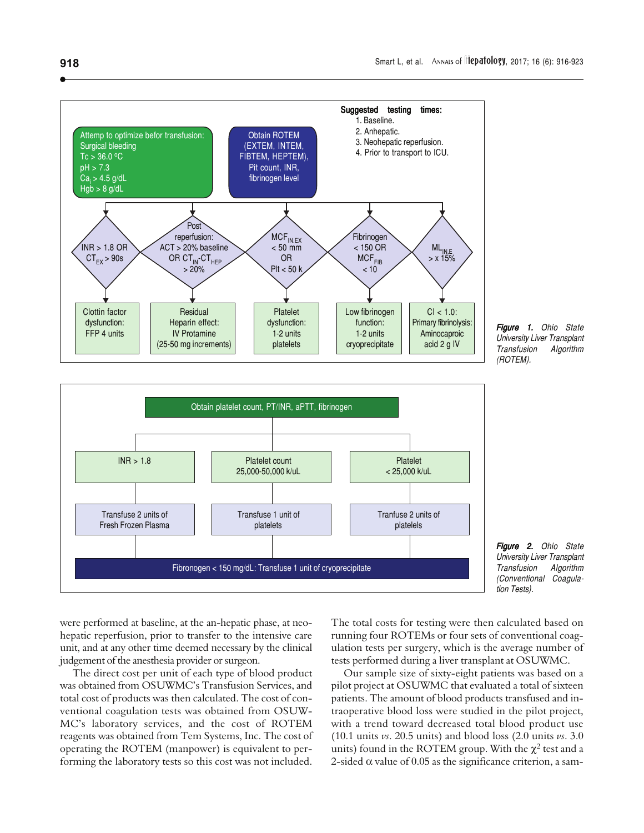





Figure 2. Ohio State University Liver Transplant Transfusion Algorithm (Conventional Coagulation Tests).

were performed at baseline, at the an-hepatic phase, at neohepatic reperfusion, prior to transfer to the intensive care unit, and at any other time deemed necessary by the clinical judgement of the anesthesia provider or surgeon.

The direct cost per unit of each type of blood product was obtained from OSUWMC's Transfusion Services, and total cost of products was then calculated. The cost of conventional coagulation tests was obtained from OSUW-MC's laboratory services, and the cost of ROTEM reagents was obtained from Tem Systems, Inc. The cost of operating the ROTEM (manpower) is equivalent to performing the laboratory tests so this cost was not included.

The total costs for testing were then calculated based on running four ROTEMs or four sets of conventional coagulation tests per surgery, which is the average number of tests performed during a liver transplant at OSUWMC.

Our sample size of sixty-eight patients was based on a pilot project at OSUWMC that evaluated a total of sixteen patients. The amount of blood products transfused and intraoperative blood loss were studied in the pilot project, with a trend toward decreased total blood product use (10.1 units *vs*. 20.5 units) and blood loss (2.0 units *vs*. 3.0 units) found in the ROTEM group. With the  $\chi^2$  test and a 2-sided  $\alpha$  value of 0.05 as the significance criterion, a sam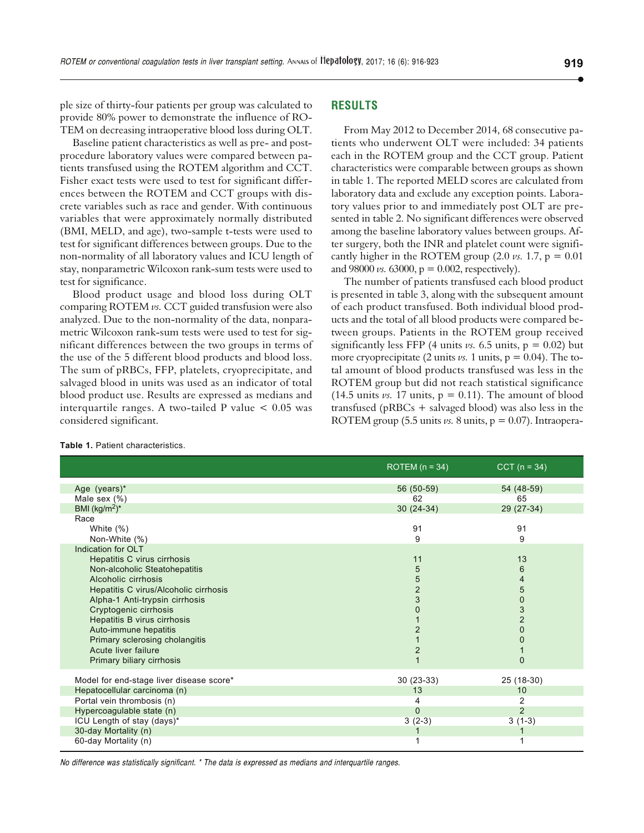ple size of thirty-four patients per group was calculated to provide 80% power to demonstrate the influence of RO-TEM on decreasing intraoperative blood loss during OLT.

Baseline patient characteristics as well as pre- and postprocedure laboratory values were compared between patients transfused using the ROTEM algorithm and CCT. Fisher exact tests were used to test for significant differences between the ROTEM and CCT groups with discrete variables such as race and gender. With continuous variables that were approximately normally distributed (BMI, MELD, and age), two-sample t-tests were used to test for significant differences between groups. Due to the non-normality of all laboratory values and ICU length of stay, nonparametric Wilcoxon rank-sum tests were used to test for significance.

Blood product usage and blood loss during OLT comparing ROTEM *vs.* CCT guided transfusion were also analyzed. Due to the non-normality of the data, nonparametric Wilcoxon rank-sum tests were used to test for significant differences between the two groups in terms of the use of the 5 different blood products and blood loss. The sum of pRBCs, FFP, platelets, cryoprecipitate, and salvaged blood in units was used as an indicator of total blood product use. Results are expressed as medians and interquartile ranges. A two-tailed P value  $< 0.05$  was considered significant.

## **RESULTS**

From May 2012 to December 2014, 68 consecutive patients who underwent OLT were included: 34 patients each in the ROTEM group and the CCT group. Patient characteristics were comparable between groups as shown in table 1. The reported MELD scores are calculated from laboratory data and exclude any exception points. Laboratory values prior to and immediately post OLT are presented in table 2. No significant differences were observed among the baseline laboratory values between groups. After surgery, both the INR and platelet count were significantly higher in the ROTEM group  $(2.0 \text{ vs. } 1.7, p = 0.01)$ and 98000 *vs.* 63000,  $p = 0.002$ , respectively).

The number of patients transfused each blood product is presented in table 3, along with the subsequent amount of each product transfused. Both individual blood products and the total of all blood products were compared between groups. Patients in the ROTEM group received significantly less FFP (4 units  $\nu s$ . 6.5 units,  $p = 0.02$ ) but more cryoprecipitate (2 units  $\nu$ s. 1 units,  $p = 0.04$ ). The total amount of blood products transfused was less in the ROTEM group but did not reach statistical significance (14.5 units *vs.* 17 units,  $p = 0.11$ ). The amount of blood transfused (pRBCs + salvaged blood) was also less in the ROTEM group (5.5 units  $\nu$ s. 8 units,  $p = 0.07$ ). Intraopera-

ROTEM  $(n = 34)$  CCT  $(n = 34)$ Age (years)\* 56 (50-59) 54 (48-59) Male sex (%)  $62$  65<br>BMI (kg/m<sup>2</sup>)\* 29 (27-34)  $30$  (24-34)  $29$  (27-34) BMI (kg/m<sup>2</sup>)<sup>\*</sup> Race White (%) 91 91 Non-White (%) 9 9 Indication for OLT **Hepatitis C virus cirrhosis** 11 13 13 Non-alcoholic Steatohepatitis 5 6 Alcoholic cirrhosis 5 4 Hepatitis C virus/Alcoholic cirrhosis Alpha-1 Anti-trypsin cirrhosis 3 0 Cryptogenic cirrhosis **3** 3 **Hepatitis B virus cirrhosis 1** 2 Auto-immune hepatitis 2 0 Primary sclerosing cholangitis 1 0 Acute liver failure 2 1 Primary biliary cirrhosis 1 0 Model for end-stage liver disease score\* 30 (23-33) 30 (23-33) 25 (18-30) Hepatocellular carcinoma (n) 10 10 13 10 13 10 13 10 13 10 14 15 16 17 17 18 18 19 19 10 11 11 12 12 13 10 12 Portal vein thrombosis (n) 2 Hypercoagulable state (n) and the contract of the contract of the contract of the contract of the contract of the contract of the contract of the contract of the contract of the contract of the contract of the contract of ICU Length of stay  $(days)^*$  3 (1-3) 30-day Mortality (n) 60-day Mortality (n) 2002 12:00 12:00 12:00 12:00 12:00 12:00 12:00 12:00 12:00 12:00 12:00 12:00 12:00 12:00 1

**Table 1.** Patient characteristics.

No difference was statistically significant. \* The data is expressed as medians and interquartile ranges.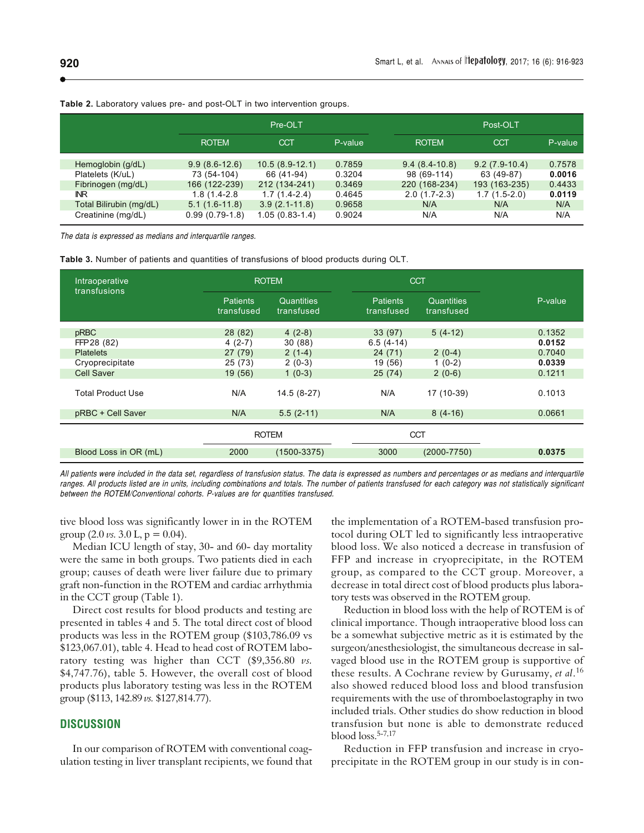|                         | Pre-OLT          |                  |         | Post-OLT        |                 |         |  |
|-------------------------|------------------|------------------|---------|-----------------|-----------------|---------|--|
|                         | <b>ROTEM</b>     | <b>CCT</b>       | P-value | <b>ROTEM</b>    | <b>CCT</b>      | P-value |  |
| Hemoglobin (g/dL)       | $9.9(8.6-12.6)$  | $10.5(8.9-12.1)$ | 0.7859  | $9.4(8.4-10.8)$ | $9.2(7.9-10.4)$ | 0.7578  |  |
| Platelets (K/uL)        | 73 (54-104)      | 66 (41-94)       | 0.3204  | 98 (69-114)     | 63 (49-87)      | 0.0016  |  |
| Fibrinogen (mg/dL)      | 166 (122-239)    | 212 (134-241)    | 0.3469  | 220 (168-234)   | 193 (163-235)   | 0.4433  |  |
| IN <sub>R</sub>         | $1.8(1.4-2.8)$   | $1.7(1.4-2.4)$   | 0.4645  | $2.0(1.7-2.3)$  | $1.7(1.5-2.0)$  | 0.0119  |  |
| Total Bilirubin (mg/dL) | $5.1(1.6-11.8)$  | $3.9(2.1-11.8)$  | 0.9658  | N/A             | N/A             | N/A     |  |
| Creatinine (mg/dL)      | $0.99(0.79-1.8)$ | $1.05(0.83-1.4)$ | 0.9024  | N/A             | N/A             | N/A     |  |

**Table 2.** Laboratory values pre- and post-OLT in two intervention groups.

The data is expressed as medians and interquartile ranges.

| <b>Table 3.</b> Number of patients and quantities of transfusions of blood products during OLT. |  |  |  |  |  |  |  |
|-------------------------------------------------------------------------------------------------|--|--|--|--|--|--|--|
|-------------------------------------------------------------------------------------------------|--|--|--|--|--|--|--|

| Intraoperative<br>transfusions | <b>ROTEM</b>                  |                                 | <b>CCT</b>                    |                          |                  |
|--------------------------------|-------------------------------|---------------------------------|-------------------------------|--------------------------|------------------|
|                                | <b>Patients</b><br>transfused | <b>Quantities</b><br>transfused | <b>Patients</b><br>transfused | Quantities<br>transfused | P-value          |
| pRBC<br>FFP28 (82)             | 28(82)<br>$4(2-7)$            | $4(2-8)$<br>30(88)              | 33 (97)<br>$6.5(4-14)$        | $5(4-12)$                | 0.1352<br>0.0152 |
| <b>Platelets</b>               | 27(79)                        | $2(1-4)$                        | 24(71)                        | $2(0-4)$                 | 0.7040           |
| Cryoprecipitate                | 25(73)                        | $2(0-3)$                        | 19 (56)                       | $1(0-2)$                 | 0.0339           |
| Cell Saver                     | 19 (56)                       | $1(0-3)$                        | 25(74)                        | $2(0-6)$                 | 0.1211           |
| <b>Total Product Use</b>       | N/A                           | 14.5 (8-27)                     | N/A                           | 17 (10-39)               | 0.1013           |
| pRBC + Cell Saver              | N/A                           | $5.5(2-11)$                     | N/A                           | $8(4-16)$                | 0.0661           |
|                                | <b>ROTEM</b>                  |                                 | <b>CCT</b>                    |                          |                  |
| Blood Loss in OR (mL)          | 2000                          | $(1500 - 3375)$                 | 3000                          | $(2000 - 7750)$          | 0.0375           |

All patients were included in the data set, regardless of transfusion status. The data is expressed as numbers and percentages or as medians and interquartile ranges. All products listed are in units, including combinations and totals. The number of patients transfused for each category was not statistically significant between the ROTEM/Conventional cohorts. P-values are for quantities transfused.

tive blood loss was significantly lower in in the ROTEM group  $(2.0 \text{ vs. } 3.0 \text{ L}, \text{p} = 0.04)$ .

Median ICU length of stay, 30- and 60- day mortality were the same in both groups. Two patients died in each group; causes of death were liver failure due to primary graft non-function in the ROTEM and cardiac arrhythmia in the CCT group (Table 1).

Direct cost results for blood products and testing are presented in tables 4 and 5. The total direct cost of blood products was less in the ROTEM group (\$103,786.09 vs \$123,067.01), table 4. Head to head cost of ROTEM laboratory testing was higher than CCT (\$9,356.80 *vs.* \$4,747.76), table 5. However, the overall cost of blood products plus laboratory testing was less in the ROTEM group (\$113, 142.89 *vs.* \$127,814.77).

#### **DISCUSSION**

In our comparison of ROTEM with conventional coagulation testing in liver transplant recipients, we found that the implementation of a ROTEM-based transfusion protocol during OLT led to significantly less intraoperative blood loss. We also noticed a decrease in transfusion of FFP and increase in cryoprecipitate, in the ROTEM group, as compared to the CCT group. Moreover, a decrease in total direct cost of blood products plus laboratory tests was observed in the ROTEM group.

Reduction in blood loss with the help of ROTEM is of clinical importance. Though intraoperative blood loss can be a somewhat subjective metric as it is estimated by the surgeon/anesthesiologist, the simultaneous decrease in salvaged blood use in the ROTEM group is supportive of these results. A Cochrane review by Gurusamy, *et al*. 16 also showed reduced blood loss and blood transfusion requirements with the use of thromboelastography in two included trials. Other studies do show reduction in blood transfusion but none is able to demonstrate reduced blood loss.5-7,17

Reduction in FFP transfusion and increase in cryoprecipitate in the ROTEM group in our study is in con-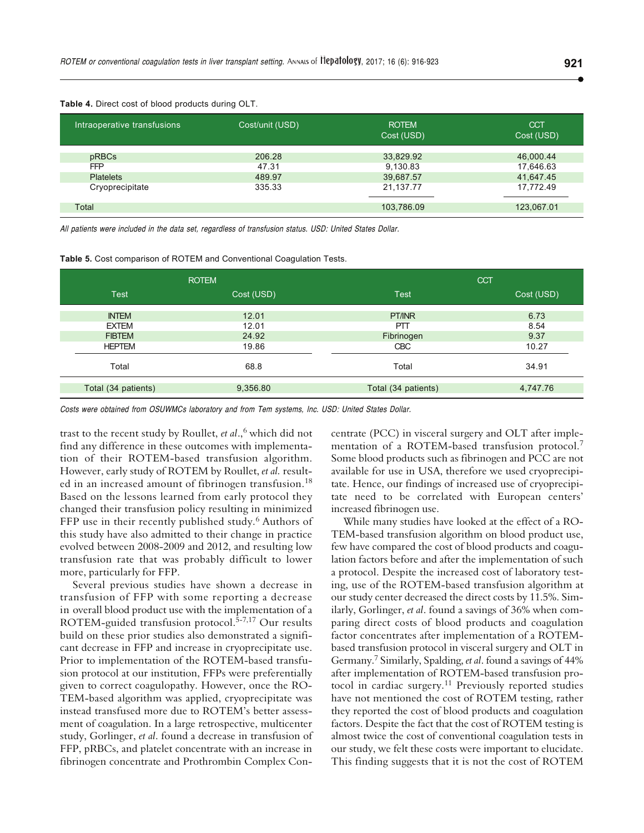| Intraoperative transfusions    | Cost/unit (USD) | <b>ROTEM</b><br>Cost (USD) | <b>CCT</b><br>Cost (USD) |
|--------------------------------|-----------------|----------------------------|--------------------------|
| pRBCs                          | 206.28          | 33,829.92                  | 46,000.44                |
| <b>FFP</b><br><b>Platelets</b> | 47.31<br>489.97 | 9,130.83<br>39,687.57      | 17,646.63<br>41,647.45   |
| Cryoprecipitate                | 335.33          | 21,137.77                  | 17,772.49                |
| Total                          |                 | 103,786.09                 | 123,067.01               |

**Table 4.** Direct cost of blood products during OLT.

All patients were included in the data set, regardless of transfusion status. USD: United States Dollar.

| Table 5. Cost comparison of ROTEM and Conventional Coagulation Tests. |  |  |
|-----------------------------------------------------------------------|--|--|
|                                                                       |  |  |

|                     | <b>ROTEM</b> | <b>CCT</b>          |            |  |
|---------------------|--------------|---------------------|------------|--|
| <b>Test</b>         | Cost (USD)   | <b>Test</b>         | Cost (USD) |  |
| <b>INTEM</b>        | 12.01        | PT/INR              | 6.73       |  |
| <b>EXTEM</b>        | 12.01        | PTT                 | 8.54       |  |
| <b>FIBTEM</b>       | 24.92        | Fibrinogen          | 9.37       |  |
| <b>HEPTEM</b>       | 19.86        | <b>CBC</b>          | 10.27      |  |
| Total               | 68.8         | Total               | 34.91      |  |
| Total (34 patients) | 9,356.80     | Total (34 patients) | 4,747.76   |  |

Costs were obtained from OSUWMCs laboratory and from Tem systems, Inc. USD: United States Dollar.

trast to the recent study by Roullet, *et al*.,6 which did not find any difference in these outcomes with implementation of their ROTEM-based transfusion algorithm. However, early study of ROTEM by Roullet, *et al.* resulted in an increased amount of fibrinogen transfusion.<sup>18</sup> Based on the lessons learned from early protocol they changed their transfusion policy resulting in minimized FFP use in their recently published study.<sup>6</sup> Authors of this study have also admitted to their change in practice evolved between 2008-2009 and 2012, and resulting low transfusion rate that was probably difficult to lower more, particularly for FFP.

Several previous studies have shown a decrease in transfusion of FFP with some reporting a decrease in overall blood product use with the implementation of a ROTEM-guided transfusion protocol.<sup>5-7,17</sup> Our results build on these prior studies also demonstrated a significant decrease in FFP and increase in cryoprecipitate use. Prior to implementation of the ROTEM-based transfusion protocol at our institution, FFPs were preferentially given to correct coagulopathy. However, once the RO-TEM-based algorithm was applied, cryoprecipitate was instead transfused more due to ROTEM's better assessment of coagulation. In a large retrospective, multicenter study, Gorlinger, *et al*. found a decrease in transfusion of FFP, pRBCs, and platelet concentrate with an increase in fibrinogen concentrate and Prothrombin Complex Concentrate (PCC) in visceral surgery and OLT after implementation of a ROTEM-based transfusion protocol.<sup>7</sup> Some blood products such as fibrinogen and PCC are not available for use in USA, therefore we used cryoprecipitate. Hence, our findings of increased use of cryoprecipitate need to be correlated with European centers' increased fibrinogen use.

While many studies have looked at the effect of a RO-TEM-based transfusion algorithm on blood product use, few have compared the cost of blood products and coagulation factors before and after the implementation of such a protocol. Despite the increased cost of laboratory testing, use of the ROTEM-based transfusion algorithm at our study center decreased the direct costs by 11.5%. Similarly, Gorlinger, *et al*. found a savings of 36% when comparing direct costs of blood products and coagulation factor concentrates after implementation of a ROTEMbased transfusion protocol in visceral surgery and OLT in Germany.7 Similarly, Spalding, *et al*. found a savings of 44% after implementation of ROTEM-based transfusion protocol in cardiac surgery.<sup>11</sup> Previously reported studies have not mentioned the cost of ROTEM testing, rather they reported the cost of blood products and coagulation factors. Despite the fact that the cost of ROTEM testing is almost twice the cost of conventional coagulation tests in our study, we felt these costs were important to elucidate. This finding suggests that it is not the cost of ROTEM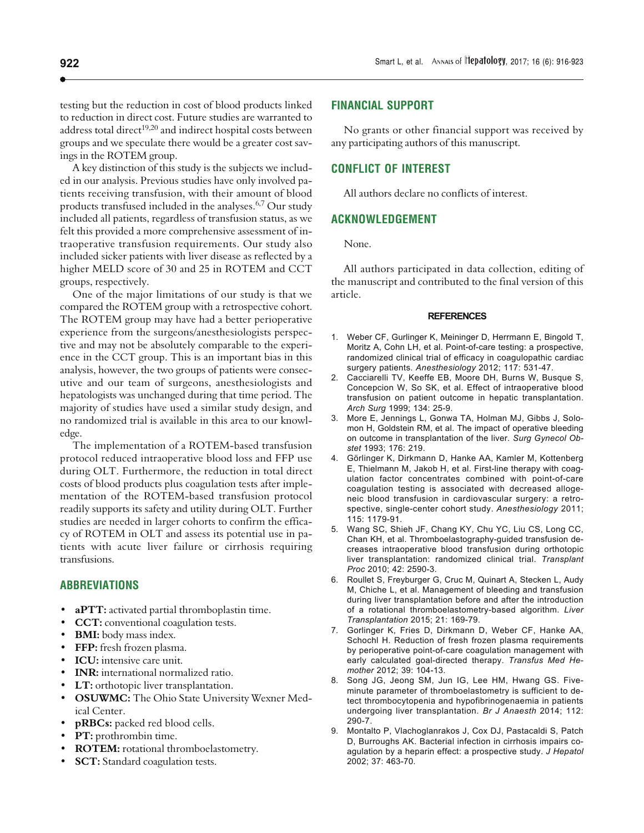testing but the reduction in cost of blood products linked to reduction in direct cost. Future studies are warranted to address total direct<sup>19,20</sup> and indirect hospital costs between groups and we speculate there would be a greater cost savings in the ROTEM group.

A key distinction of this study is the subjects we included in our analysis. Previous studies have only involved patients receiving transfusion, with their amount of blood products transfused included in the analyses.<sup>6,7</sup> Our study included all patients, regardless of transfusion status, as we felt this provided a more comprehensive assessment of intraoperative transfusion requirements. Our study also included sicker patients with liver disease as reflected by a higher MELD score of 30 and 25 in ROTEM and CCT groups, respectively.

One of the major limitations of our study is that we compared the ROTEM group with a retrospective cohort. The ROTEM group may have had a better perioperative experience from the surgeons/anesthesiologists perspective and may not be absolutely comparable to the experience in the CCT group. This is an important bias in this analysis, however, the two groups of patients were consecutive and our team of surgeons, anesthesiologists and hepatologists was unchanged during that time period. The majority of studies have used a similar study design, and no randomized trial is available in this area to our knowledge.

The implementation of a ROTEM-based transfusion protocol reduced intraoperative blood loss and FFP use during OLT. Furthermore, the reduction in total direct costs of blood products plus coagulation tests after implementation of the ROTEM-based transfusion protocol readily supports its safety and utility during OLT. Further studies are needed in larger cohorts to confirm the efficacy of ROTEM in OLT and assess its potential use in patients with acute liver failure or cirrhosis requiring transfusions.

#### **ABBREVIATIONS**

- **aPTT:** activated partial thromboplastin time.
- **CCT:** conventional coagulation tests.
- **BMI:** body mass index.
- **FFP:** fresh frozen plasma.
- **ICU:** intensive care unit.
- **INR:** international normalized ratio.
- **LT:** orthotopic liver transplantation.
- **OSUWMC:** The Ohio State University Wexner Medical Center.
- **pRBCs:** packed red blood cells.
- **PT:** prothrombin time.
- **ROTEM:** rotational thromboelastometry.
- **SCT:** Standard coagulation tests.

#### **FINANCIAL SUPPORT**

No grants or other financial support was received by any participating authors of this manuscript.

### **CONFLICT OF INTEREST**

All authors declare no conflicts of interest.

#### **ACKNOWLEDGEMENT**

None.

All authors participated in data collection, editing of the manuscript and contributed to the final version of this article.

#### **REFERENCES**

- 1. Weber CF, Gurlinger K, Meininger D, Herrmann E, Bingold T, Moritz A, Cohn LH, et al. Point-of-care testing: a prospective, randomized clinical trial of efficacy in coagulopathic cardiac surgery patients. *Anesthesiology* 2012; 117: 531-47.
- 2. Cacciarelli TV, Keeffe EB, Moore DH, Burns W, Busque S, Concepcion W, So SK, et al. Effect of intraoperative blood transfusion on patient outcome in hepatic transplantation. *Arch Surg* 1999; 134: 25-9.
- 3. More E, Jennings L, Gonwa TA, Holman MJ, Gibbs J, Solomon H, Goldstein RM, et al. The impact of operative bleeding on outcome in transplantation of the liver. *Surg Gynecol Obstet* 1993; 176: 219.
- 4. Görlinger K, Dirkmann D, Hanke AA, Kamler M, Kottenberg E, Thielmann M, Jakob H, et al. First-line therapy with coagulation factor concentrates combined with point-of-care coagulation testing is associated with decreased allogeneic blood transfusion in cardiovascular surgery: a retrospective, single-center cohort study. *Anesthesiology* 2011; 115: 1179-91.
- 5. Wang SC, Shieh JF, Chang KY, Chu YC, Liu CS, Long CC, Chan KH, et al. Thromboelastography-guided transfusion decreases intraoperative blood transfusion during orthotopic liver transplantation: randomized clinical trial. *Transplant Proc* 2010; 42: 2590-3.
- 6. Roullet S, Freyburger G, Cruc M, Quinart A, Stecken L, Audy M, Chiche L, et al. Management of bleeding and transfusion during liver transplantation before and after the introduction of a rotational thromboelastometry-based algorithm. *Liver Transplantation* 2015; 21: 169-79.
- 7. Gorlinger K, Fries D, Dirkmann D, Weber CF, Hanke AA, Schochl H. Reduction of fresh frozen plasma requirements by perioperative point-of-care coagulation management with early calculated goal-directed therapy. *Transfus Med Hemother* 2012; 39: 104-13.
- 8. Song JG, Jeong SM, Jun IG, Lee HM, Hwang GS. Fiveminute parameter of thromboelastometry is sufficient to detect thrombocytopenia and hypofibrinogenaemia in patients undergoing liver transplantation. *Br J Anaesth* 2014; 112: 290-7.
- 9. Montalto P, Vlachoglanrakos J, Cox DJ, Pastacaldi S, Patch D, Burroughs AK. Bacterial infection in cirrhosis impairs coagulation by a heparin effect: a prospective study. *J Hepatol* 2002; 37: 463-70.